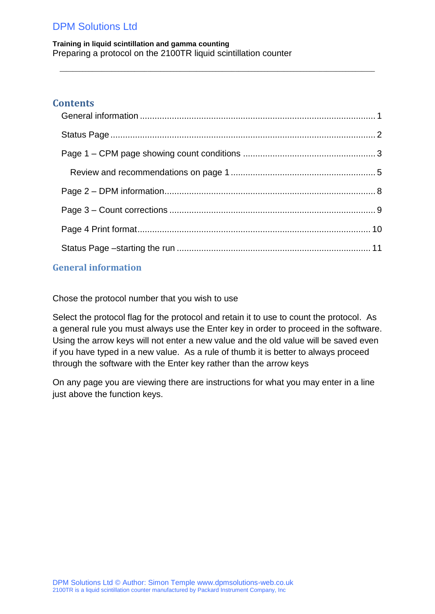**Training in liquid scintillation and gamma counting** Preparing a protocol on the 2100TR liquid scintillation counter

### **Contents**

 $\_$  ,  $\_$  ,  $\_$  ,  $\_$  ,  $\_$  ,  $\_$  ,  $\_$  ,  $\_$  ,  $\_$  ,  $\_$  ,  $\_$  ,  $\_$  ,  $\_$  ,  $\_$  ,  $\_$  ,  $\_$  ,  $\_$  ,  $\_$  ,  $\_$  ,  $\_$  ,  $\_$  ,  $\_$  ,  $\_$  ,  $\_$  ,  $\_$  ,  $\_$  ,  $\_$  ,  $\_$  ,  $\_$  ,  $\_$  ,  $\_$  ,  $\_$  ,  $\_$  ,  $\_$  ,  $\_$  ,  $\_$  ,  $\_$  ,

### <span id="page-0-0"></span>**General information**

Chose the protocol number that you wish to use

Select the protocol flag for the protocol and retain it to use to count the protocol. As a general rule you must always use the Enter key in order to proceed in the software. Using the arrow keys will not enter a new value and the old value will be saved even if you have typed in a new value. As a rule of thumb it is better to always proceed through the software with the Enter key rather than the arrow keys

On any page you are viewing there are instructions for what you may enter in a line just above the function keys.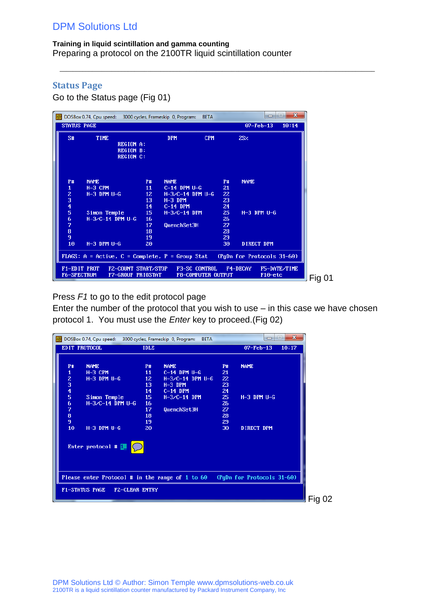**Training in liquid scintillation and gamma counting** Preparing a protocol on the 2100TR liquid scintillation counter

 $\_$  ,  $\_$  ,  $\_$  ,  $\_$  ,  $\_$  ,  $\_$  ,  $\_$  ,  $\_$  ,  $\_$  ,  $\_$  ,  $\_$  ,  $\_$  ,  $\_$  ,  $\_$  ,  $\_$  ,  $\_$  ,  $\_$  ,  $\_$  ,  $\_$  ,  $\_$  ,  $\_$  ,  $\_$  ,  $\_$  ,  $\_$  ,  $\_$  ,  $\_$  ,  $\_$  ,  $\_$  ,  $\_$  ,  $\_$  ,  $\_$  ,  $\_$  ,  $\_$  ,  $\_$  ,  $\_$  ,  $\_$  ,  $\_$  ,

## <span id="page-1-0"></span>**Status Page**

Go to the Status page (Fig 01)

|                                   | DOSBox 0.74, Cpu speed: 3000 cycles, Frameskip 0, Program:                 |                                                          |                                                |                                                                                  | <b>BETA</b>          |                                         |                            | $\Box$            | $\mathbf{x}$<br>i۰ |
|-----------------------------------|----------------------------------------------------------------------------|----------------------------------------------------------|------------------------------------------------|----------------------------------------------------------------------------------|----------------------|-----------------------------------------|----------------------------|-------------------|--------------------|
|                                   | <b>STATUS PAGE</b>                                                         |                                                          |                                                |                                                                                  |                      |                                         |                            | $07 - Feb - 13$   | 10:14              |
| S#                                | TIME                                                                       | <b>REGION A:</b><br><b>REGION B:</b><br><b>REGION C:</b> |                                                | <b>DPM</b>                                                                       |                      | <b>CPM</b>                              | 2SZ                        |                   |                    |
| <b>P#</b><br>1<br>z<br>3          | <b>NAME</b><br>$H-3$ CPM<br>$H-3$ DPM $U-G$                                |                                                          | <b>P#</b><br>11<br>12 <sub>z</sub><br>13<br>14 | <b>NAME</b><br>$C-14$ DPM $U-G$<br>$H-3/C-14$ DPM U-G<br>$H-3$ DPM<br>$C-14$ DPM |                      | <b>P#</b><br>21<br>22<br>23<br>24       | <b>NAME</b>                |                   |                    |
| $\frac{4}{5}$<br>6<br>7<br>8<br>9 | Simon Temple<br>$H-3/C-14$ DPM U-G                                         |                                                          | 15<br>16<br>17<br>18<br>19                     | $H-3/C-14$ DPM<br>QuenchSet3H                                                    |                      | 25 <sub>1</sub><br>26<br>27<br>28<br>29 |                            | $H-3$ DPM $U-G$   |                    |
| 10                                | $H-3$ DPM $U-G$<br>FLAGS: $A = Active$ , $C = Complete$ , $P = Group Stat$ |                                                          | 20                                             |                                                                                  |                      | 30                                      | (PgDn for Protocols 31-60) | <b>DIRECT DPM</b> |                    |
|                                   | F1-EDIT PROT<br>F6-SPECTRUM                                                |                                                          | FZ-COUNT START/STOP<br>F7-GROUP PRIOSTAT       |                                                                                  | <b>F3-SC CONTROL</b> | <b>F8-COMPUTER OUTPUT</b>               | <b>F4-DECAY</b>            | F10-etc           | F5-DATE/TIME       |

Press *F1* to go to the edit protocol page

Enter the number of the protocol that you wish to use – in this case we have chosen protocol 1. You must use the *Enter* key to proceed.(Fig 02)

| <b>IDLE</b><br>$O7-Feb-13$<br>10:17<br><b>NAME</b><br><b>NAME</b><br><b>P#</b><br><b>P#</b><br><b>NAME</b><br><b>P#</b><br>1<br>$H-3$ CPM<br>11<br>$C-14$ DPM $U-G$<br>21<br>$\begin{array}{c} 2 \\ 3 \\ 4 \\ 5 \end{array}$<br>$H-3$ DPM $U-G$<br>12 <sup>2</sup><br>$H-3/C-14$ DPM U-G<br>22<br>13<br>23<br>$H-3$ DPM<br>14<br>24<br>$C-14$ DPM<br>15<br>25<br>$H-3$ DPM $U-G$<br>Simon Temple<br>$H - 3/C - 14$ DPM<br>6<br>$H-3/C-14$ DPM U-G<br>16<br>26<br>7<br>17<br>27<br>QuenchSet3H<br>$\frac{8}{9}$<br>18<br>28<br>29<br>19<br>10<br>$H-3$ DPM $U-G$<br>20<br>30<br><b>DIRECT DPM</b><br>Enter protocol # [<br>Please enter Protocol # in the range of 1 to $60$ (PgDn for Protocols 31-60)<br><b>FZ-CLEAR ENTRY</b> | DOSBox 0.74, Cpu speed: 3000 cycles, Frameskip 0, Program: | <b>BETA</b> | $\mathbf{x}$<br>i=<br>$\Box$ |
|---------------------------------------------------------------------------------------------------------------------------------------------------------------------------------------------------------------------------------------------------------------------------------------------------------------------------------------------------------------------------------------------------------------------------------------------------------------------------------------------------------------------------------------------------------------------------------------------------------------------------------------------------------------------------------------------------------------------------------|------------------------------------------------------------|-------------|------------------------------|
|                                                                                                                                                                                                                                                                                                                                                                                                                                                                                                                                                                                                                                                                                                                                 | EDIT PROTOCOL                                              |             |                              |
|                                                                                                                                                                                                                                                                                                                                                                                                                                                                                                                                                                                                                                                                                                                                 |                                                            |             |                              |
|                                                                                                                                                                                                                                                                                                                                                                                                                                                                                                                                                                                                                                                                                                                                 |                                                            |             |                              |
|                                                                                                                                                                                                                                                                                                                                                                                                                                                                                                                                                                                                                                                                                                                                 |                                                            |             |                              |
|                                                                                                                                                                                                                                                                                                                                                                                                                                                                                                                                                                                                                                                                                                                                 |                                                            |             |                              |
|                                                                                                                                                                                                                                                                                                                                                                                                                                                                                                                                                                                                                                                                                                                                 |                                                            |             |                              |
|                                                                                                                                                                                                                                                                                                                                                                                                                                                                                                                                                                                                                                                                                                                                 |                                                            |             |                              |
|                                                                                                                                                                                                                                                                                                                                                                                                                                                                                                                                                                                                                                                                                                                                 |                                                            |             |                              |
|                                                                                                                                                                                                                                                                                                                                                                                                                                                                                                                                                                                                                                                                                                                                 |                                                            |             |                              |
|                                                                                                                                                                                                                                                                                                                                                                                                                                                                                                                                                                                                                                                                                                                                 |                                                            |             |                              |
|                                                                                                                                                                                                                                                                                                                                                                                                                                                                                                                                                                                                                                                                                                                                 |                                                            |             |                              |
|                                                                                                                                                                                                                                                                                                                                                                                                                                                                                                                                                                                                                                                                                                                                 |                                                            |             |                              |
|                                                                                                                                                                                                                                                                                                                                                                                                                                                                                                                                                                                                                                                                                                                                 |                                                            |             |                              |
|                                                                                                                                                                                                                                                                                                                                                                                                                                                                                                                                                                                                                                                                                                                                 |                                                            |             |                              |
|                                                                                                                                                                                                                                                                                                                                                                                                                                                                                                                                                                                                                                                                                                                                 |                                                            |             |                              |
|                                                                                                                                                                                                                                                                                                                                                                                                                                                                                                                                                                                                                                                                                                                                 | <b>F1-STATUS PAGE</b>                                      |             |                              |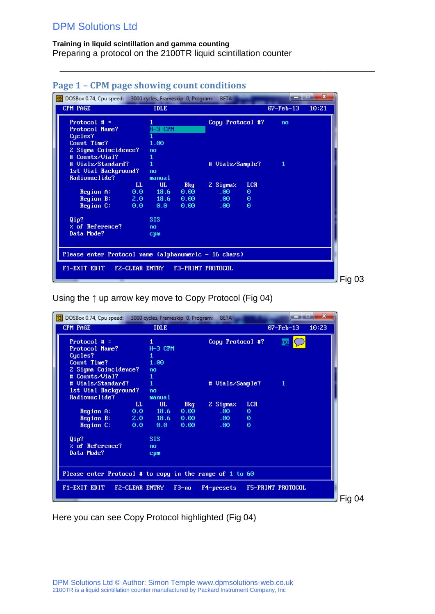#### **Training in liquid scintillation and gamma counting**

Preparing a protocol on the 2100TR liquid scintillation counter

| DOSBox 0.74, Cpu speed: 3000 cycles, Frameskip 0, Program: |    |             |            | <b>BETA</b>      |            |                 | $\mathbf{x}$ |
|------------------------------------------------------------|----|-------------|------------|------------------|------------|-----------------|--------------|
| <b>CPM PAGE</b>                                            |    | <b>IDLE</b> |            |                  |            | $07 - Feb - 13$ | 10:21        |
| Protocol $# =$                                             |    |             |            | Copy Protocol #? |            | no              |              |
| Protocol Name?                                             |    | $H - 3$ CPM |            |                  |            |                 |              |
| Cucles?                                                    |    |             |            |                  |            |                 |              |
| Count Time?                                                |    | 1.00        |            |                  |            |                 |              |
| 2 Sigma Coincidence?                                       |    | no          |            |                  |            |                 |              |
| # Counts/Vial?                                             |    | 1           |            |                  |            |                 |              |
| # Uials/Standard?                                          |    | 1           |            | # Vials/Sample?  |            | 1               |              |
| 1st Uial Background?                                       |    | no          |            |                  |            |                 |              |
| Radionuclide?                                              |    | manual      |            |                  |            |                 |              |
|                                                            | LL | UL.         | Bkg        | 2 Sigmaz.        | <b>LCR</b> |                 |              |
| $Region \nightharpoonup$ $\blacksquare$                    |    | $0.0$ 18.6  | $0.00 - 1$ | $.00 -$          | Θ          |                 |              |
| Region B: 2.0 18.6                                         |    |             | 0.00       | $.00 -$          | $\Theta$   |                 |              |
| Region C:                                                  |    | 0.0 0.0     | 0.00       | $.00 -$          | $\theta$   |                 |              |
| Qip?                                                       |    | <b>SIS</b>  |            |                  |            |                 |              |
| % of Reference?                                            |    | no          |            |                  |            |                 |              |
| Data Mode?                                                 |    | cpm         |            |                  |            |                 |              |
|                                                            |    |             |            |                  |            |                 |              |
|                                                            |    |             |            |                  |            |                 |              |
| Please enter Protocol name (alphanumeric - 16 chars)       |    |             |            |                  |            |                 |              |
|                                                            |    |             |            |                  |            |                 |              |
| F1-EXIT EDIT F2-CLEAR ENTRY F3-PRINT PROTOCOL              |    |             |            |                  |            |                 |              |
|                                                            |    |             |            |                  |            |                 |              |

 $\_$  ,  $\_$  ,  $\_$  ,  $\_$  ,  $\_$  ,  $\_$  ,  $\_$  ,  $\_$  ,  $\_$  ,  $\_$  ,  $\_$  ,  $\_$  ,  $\_$  ,  $\_$  ,  $\_$  ,  $\_$  ,  $\_$  ,  $\_$  ,  $\_$  ,  $\_$  ,  $\_$  ,  $\_$  ,  $\_$  ,  $\_$  ,  $\_$  ,  $\_$  ,  $\_$  ,  $\_$  ,  $\_$  ,  $\_$  ,  $\_$  ,  $\_$  ,  $\_$  ,  $\_$  ,  $\_$  ,  $\_$  ,  $\_$  ,

## <span id="page-2-0"></span>**Page 1 – CPM page showing count conditions**

Using the ↑ up arrow key move to Copy Protocol (Fig 04)

| DOSBox 0.74, Cpu speed: 3000 cycles, Frameskip 0, Program: |                       |             |         | <b>BETA</b>      |            |                        | $\mathbf{x}$ |
|------------------------------------------------------------|-----------------------|-------------|---------|------------------|------------|------------------------|--------------|
| <b>CPM PAGE</b>                                            |                       | <b>IDLE</b> |         |                  |            | $07 - \text{Feb} - 13$ | 10:23        |
| Protocol $# =$                                             |                       | 1           |         | Copy Protocol #? |            | no                     |              |
| Protocol Name?                                             |                       | $H-3$ CPM   |         |                  |            |                        |              |
| Cucles?                                                    |                       |             |         |                  |            |                        |              |
| Count Time?                                                |                       | 1.00        |         |                  |            |                        |              |
| 2 Sigma Coincidence?                                       |                       | no          |         |                  |            |                        |              |
| # Counts/Uial?                                             |                       | 1           |         |                  |            |                        |              |
| # Uials/Standard?                                          |                       | 1           |         | # Vials/Sample?  |            | 1                      |              |
| 1st Vial Background?                                       |                       | no          |         |                  |            |                        |              |
| Radionuclide?                                              |                       | manual      |         |                  |            |                        |              |
|                                                            | $\mathbf{L}$          | UL.         | Bkg     | 2 Sigmaz         | <b>LCR</b> |                        |              |
| Region A:                                                  |                       | $0.0$ 18.6  | 0.00    | .00 <sub>1</sub> | Θ          |                        |              |
| Region B:                                                  |                       | $2.0$ 18.6  | 0.00    | $.00 -$          | Θ          |                        |              |
| Region C:                                                  | 0.0                   | $0.0 -$     | 0.00    | .00 <sub>1</sub> | $\Theta$   |                        |              |
| Qip?                                                       |                       | <b>SIS</b>  |         |                  |            |                        |              |
| $\times$ of Reference?                                     |                       | no          |         |                  |            |                        |              |
| Data Mode?                                                 |                       | cpm         |         |                  |            |                        |              |
|                                                            |                       |             |         |                  |            |                        |              |
|                                                            |                       |             |         |                  |            |                        |              |
| Please enter Protocol # to copy in the range of 1 to 60    |                       |             |         |                  |            |                        |              |
| F1-EXIT EDIT                                               | <b>FZ-CLEAR ENTRY</b> |             | $F3-no$ | F4-presets       |            | F5-PRINT PROTOCOL      |              |
|                                                            |                       |             |         |                  |            |                        |              |
|                                                            |                       |             |         |                  |            |                        |              |

Here you can see Copy Protocol highlighted (Fig 04)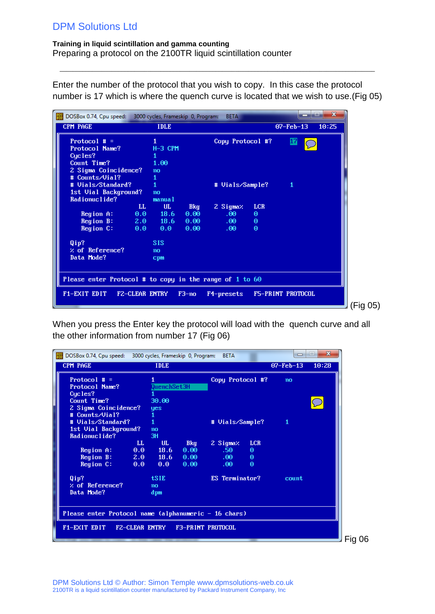#### **Training in liquid scintillation and gamma counting**

Preparing a protocol on the 2100TR liquid scintillation counter

Enter the number of the protocol that you wish to copy. In this case the protocol number is 17 which is where the quench curve is located that we wish to use.(Fig 05)

 $\_$  ,  $\_$  ,  $\_$  ,  $\_$  ,  $\_$  ,  $\_$  ,  $\_$  ,  $\_$  ,  $\_$  ,  $\_$  ,  $\_$  ,  $\_$  ,  $\_$  ,  $\_$  ,  $\_$  ,  $\_$  ,  $\_$  ,  $\_$  ,  $\_$  ,  $\_$  ,  $\_$  ,  $\_$  ,  $\_$  ,  $\_$  ,  $\_$  ,  $\_$  ,  $\_$  ,  $\_$  ,  $\_$  ,  $\_$  ,  $\_$  ,  $\_$  ,  $\_$  ,  $\_$  ,  $\_$  ,  $\_$  ,  $\_$  ,

| $\frac{pos}{log}$<br>DOSBox 0.74, Cpu speed: 3000 cycles, Frameskip 0, Program: |                |            | <b>BETA</b>      |            |                   | $\mathbf{x}$ |
|---------------------------------------------------------------------------------|----------------|------------|------------------|------------|-------------------|--------------|
| <b>CPM PAGE</b>                                                                 | <b>IDLE</b>    |            |                  |            | $07 - Feb - 13$   | 10:25        |
| Protocol $# =$                                                                  |                |            | Copy Protocol #? |            | 17                |              |
| Protocol Name?                                                                  | $H-3$ CPM      |            |                  |            |                   |              |
| Cycles?                                                                         |                |            |                  |            |                   |              |
| Count Time?                                                                     | 1.00           |            |                  |            |                   |              |
| 2 Sigma Coincidence?                                                            | no             |            |                  |            |                   |              |
| # Counts/Vial?                                                                  |                |            |                  |            |                   |              |
| # Uials/Standard?                                                               | 1              |            | # Vials/Sample?  |            | 1                 |              |
| 1st Uial Background?                                                            | n <sub>0</sub> |            |                  |            |                   |              |
| Radionuclide?                                                                   | manual         |            |                  |            |                   |              |
| LL                                                                              | UL.            | <b>Bkg</b> | 2 Sigmaz         | <b>LCR</b> |                   |              |
| Region A:<br>0.0                                                                | 18.6           | 0.00       | .00 <sub>1</sub> | Θ          |                   |              |
| Region B:<br>2.0                                                                | $-18.6$        | 0.00       | .00 <sub>1</sub> | $\Theta$   |                   |              |
| Region C:<br>0.0                                                                | $0.0 -$        | 0.00       | .00 <sub>1</sub> | $\Theta$   |                   |              |
| Qip?                                                                            | <b>SIS</b>     |            |                  |            |                   |              |
| $\times$ of Reference?                                                          | no             |            |                  |            |                   |              |
| Data Mode?                                                                      | cpm            |            |                  |            |                   |              |
|                                                                                 |                |            |                  |            |                   |              |
| Please enter Protocol # to copy in the range of 1 to 60                         |                |            |                  |            |                   |              |
| F1-EXIT EDIT<br>FZ-CLEAR ENTRY                                                  |                | $F3-no$    | F4-presets       |            | F5-PRINT PROTOCOL |              |
|                                                                                 |                |            |                  |            |                   |              |
|                                                                                 |                |            |                  |            |                   |              |

When you press the Enter key the protocol will load with the quench curve and all the other information from number 17 (Fig 06)

| DOSBox 0.74, Cpu speed: 3000 cycles, Frameskip 0, Program: |                  |             |      | <b>BETA</b>                      |            | $\Box$          | $\mathbf{x}$<br>$=$ |
|------------------------------------------------------------|------------------|-------------|------|----------------------------------|------------|-----------------|---------------------|
| CPM PAGE                                                   |                  | <b>IDLE</b> |      |                                  |            | $07 - Feb - 13$ | 10:28               |
| Protocol $# =$                                             |                  |             |      | Copy Protocol #?                 |            | no              |                     |
| Protocol Name?                                             |                  | QuenchSet3H |      |                                  |            |                 |                     |
| Cucles?                                                    |                  |             |      |                                  |            |                 |                     |
| Count Time?                                                |                  | 30.00       |      |                                  |            |                 | $\zeta$             |
| 2 Sigma Coincidence?                                       |                  | yes         |      |                                  |            |                 |                     |
| # Counts/Vial?                                             |                  |             |      |                                  |            |                 |                     |
| # Uials/Standard?                                          |                  | 1           |      | # Vials/Sample?                  |            | 1               |                     |
| 1st Vial Background?                                       |                  | no          |      |                                  |            |                 |                     |
| Radionuclide?                                              |                  | 3H          |      |                                  |            |                 |                     |
|                                                            | LL.              | UL          | Bkg  | 2 Sigmaz                         | <b>LCR</b> |                 |                     |
| Region A:                                                  | $\overline{0.0}$ | 18.6        | 0.00 | .50 <sub>1</sub>                 | $\theta$   |                 |                     |
| Region B: 12222                                            |                  | $2.0$ 18.6  | 0.00 | $.00 -$                          | $\Theta$   |                 |                     |
| Region C:                                                  | 0.0              | $0.0 -$     | 0.00 | .00.                             | $\Theta$   |                 |                     |
| Qip?                                                       |                  | <b>tSIE</b> |      | ES Terminator?                   |            | count           |                     |
| $\times$ of Reference?                                     |                  | no          |      |                                  |            |                 |                     |
| Data Mode?                                                 |                  | dpm         |      |                                  |            |                 |                     |
|                                                            |                  |             |      |                                  |            |                 |                     |
|                                                            |                  |             |      |                                  |            |                 |                     |
| Please enter Protocol name (alphanumeric - 16 chars)       |                  |             |      |                                  |            |                 |                     |
| F1-EXIT EDIT                                               |                  |             |      | FZ-CLEAR ENTRY F3-PRINT PROTOCOL |            |                 |                     |
|                                                            |                  |             |      |                                  |            |                 |                     |
|                                                            |                  |             |      |                                  |            |                 |                     |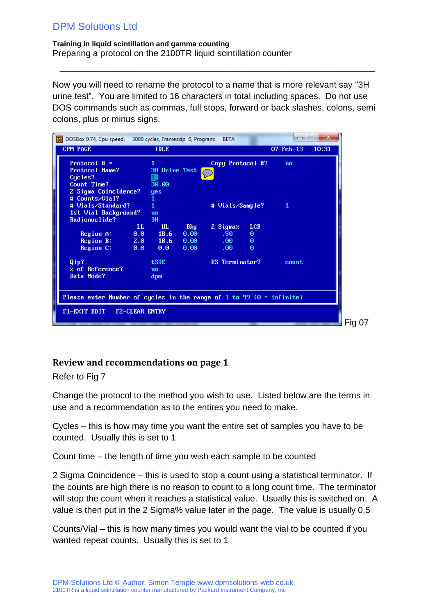**Training in liquid scintillation and gamma counting** Preparing a protocol on the 2100TR liquid scintillation counter

Now you will need to rename the protocol to a name that is more relevant say "3H urine test". You are limited to 16 characters in total including spaces. Do not use DOS commands such as commas, full stops, forward or back slashes, colons, semi colons, plus or minus signs.

 $\_$  ,  $\_$  ,  $\_$  ,  $\_$  ,  $\_$  ,  $\_$  ,  $\_$  ,  $\_$  ,  $\_$  ,  $\_$  ,  $\_$  ,  $\_$  ,  $\_$  ,  $\_$  ,  $\_$  ,  $\_$  ,  $\_$  ,  $\_$  ,  $\_$  ,  $\_$  ,  $\_$  ,  $\_$  ,  $\_$  ,  $\_$  ,  $\_$  ,  $\_$  ,  $\_$  ,  $\_$  ,  $\_$  ,  $\_$  ,  $\_$  ,  $\_$  ,  $\_$  ,  $\_$  ,  $\_$  ,  $\_$  ,  $\_$  ,

| DOSBox 0.74, Cpu speed: 3000 cycles, Frameskip 0, Program:             |                       |               |            | <b>BETA</b>      |            | $\Box$          | $\mathbf{x}$<br>$=$ |
|------------------------------------------------------------------------|-----------------------|---------------|------------|------------------|------------|-----------------|---------------------|
| CPM PAGE                                                               |                       | <b>IDLE</b>   |            |                  |            | $07 - Feb - 13$ | 10:31               |
| Protocol $# =$                                                         |                       |               |            | Copy Protocol #? |            | no              |                     |
| Protocol Name?                                                         |                       | 3H Urine Test |            |                  |            |                 |                     |
| Cucles?<br>Count Time?                                                 |                       | 30.00         |            |                  |            |                 |                     |
| 2 Sigma Coincidence?                                                   |                       | yes           |            |                  |            |                 |                     |
| # Counts/Vial?                                                         |                       |               |            |                  |            |                 |                     |
| # Vials/Standard?                                                      |                       |               |            | # Vials/Sample?  |            | 1               |                     |
| 1st Uial Background?                                                   |                       | no            |            |                  |            |                 |                     |
| Radionuclide?                                                          |                       | 3H            |            |                  |            |                 |                     |
|                                                                        | LL                    | UL.           | <b>Bkg</b> | 2 Sigmaz         | <b>LCR</b> |                 |                     |
| Region A:                                                              | 0.0                   | 18.6          | 0.00       | .50 <sub>1</sub> | $\theta$   |                 |                     |
| Region B:                                                              |                       | $2.0$ 18.6    | 0.00       | $.00 -$          | $\Theta$   |                 |                     |
| Region C:                                                              | 0.0                   | 0.0           | 0.00       | .00 <sub>1</sub> | $\Theta$   |                 |                     |
| Qip?                                                                   |                       | <b>tSIE</b>   |            | ES Terminator?   |            | count           |                     |
| $\times$ of Reference?                                                 |                       | no            |            |                  |            |                 |                     |
| Data Mode?                                                             |                       | dpm           |            |                  |            |                 |                     |
|                                                                        |                       |               |            |                  |            |                 |                     |
|                                                                        |                       |               |            |                  |            |                 |                     |
| Please enter Number of cycles in the range of 1 to 99 $(0 = infinite)$ |                       |               |            |                  |            |                 |                     |
| F1-EXIT EDIT                                                           | <b>FZ-CLEAR ENTRY</b> |               |            |                  |            |                 |                     |
|                                                                        |                       |               |            |                  |            |                 |                     |
|                                                                        |                       |               |            |                  |            |                 |                     |

## <span id="page-4-0"></span>**Review and recommendations on page 1**

Refer to Fig 7

Change the protocol to the method you wish to use. Listed below are the terms in use and a recommendation as to the entires you need to make.

Cycles – this is how may time you want the entire set of samples you have to be counted. Usually this is set to 1

Count time – the length of time you wish each sample to be counted

2 Sigma Coincidence – this is used to stop a count using a statistical terminator. If the counts are high there is no reason to count to a long count time. The terminator will stop the count when it reaches a statistical value. Usually this is switched on. A value is then put in the 2 Sigma% value later in the page. The value is usually 0.5

Counts/Vial – this is how many times you would want the vial to be counted if you wanted repeat counts. Usually this is set to 1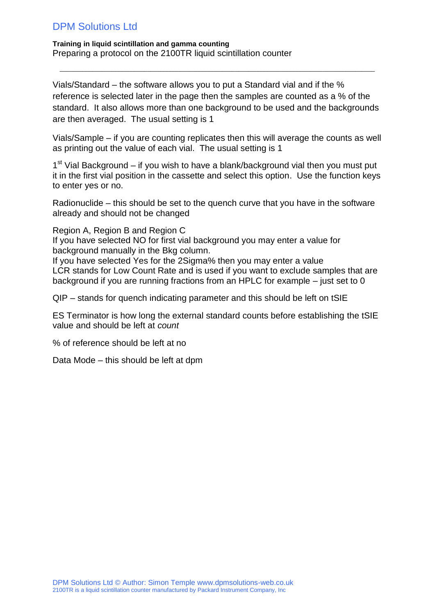**Training in liquid scintillation and gamma counting** Preparing a protocol on the 2100TR liquid scintillation counter

Vials/Standard – the software allows you to put a Standard vial and if the % reference is selected later in the page then the samples are counted as a % of the standard. It also allows more than one background to be used and the backgrounds are then averaged. The usual setting is 1

 $\_$  ,  $\_$  ,  $\_$  ,  $\_$  ,  $\_$  ,  $\_$  ,  $\_$  ,  $\_$  ,  $\_$  ,  $\_$  ,  $\_$  ,  $\_$  ,  $\_$  ,  $\_$  ,  $\_$  ,  $\_$  ,  $\_$  ,  $\_$  ,  $\_$  ,  $\_$  ,  $\_$  ,  $\_$  ,  $\_$  ,  $\_$  ,  $\_$  ,  $\_$  ,  $\_$  ,  $\_$  ,  $\_$  ,  $\_$  ,  $\_$  ,  $\_$  ,  $\_$  ,  $\_$  ,  $\_$  ,  $\_$  ,  $\_$  ,

Vials/Sample – if you are counting replicates then this will average the counts as well as printing out the value of each vial. The usual setting is 1

1<sup>st</sup> Vial Background – if you wish to have a blank/background vial then you must put it in the first vial position in the cassette and select this option. Use the function keys to enter yes or no.

Radionuclide – this should be set to the quench curve that you have in the software already and should not be changed

Region A, Region B and Region C If you have selected NO for first vial background you may enter a value for background manually in the Bkg column.

If you have selected Yes for the 2Sigma% then you may enter a value LCR stands for Low Count Rate and is used if you want to exclude samples that are background if you are running fractions from an HPLC for example – just set to 0

QIP – stands for quench indicating parameter and this should be left on tSIE

ES Terminator is how long the external standard counts before establishing the tSIE value and should be left at *count*

% of reference should be left at no

Data Mode – this should be left at dpm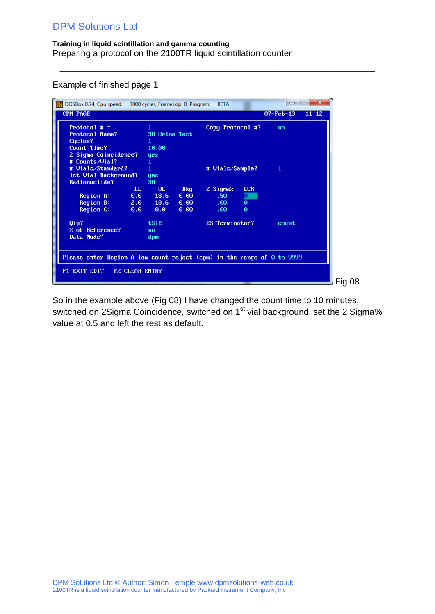#### **Training in liquid scintillation and gamma counting** Preparing a protocol on the 2100TR liquid scintillation counter

Example of finished page 1

| $\frac{0.005}{k_0 \cdot 12}$<br>DOSBox 0.74, Cpu speed: 3000 cycles, Frameskip 0, Program:           |                            |                                  |                                    | <b>BETA</b>                     |                                  | $\Box$          | $\mathbf{x}$<br>l. |        |
|------------------------------------------------------------------------------------------------------|----------------------------|----------------------------------|------------------------------------|---------------------------------|----------------------------------|-----------------|--------------------|--------|
| <b>CPM PAGE</b>                                                                                      |                            |                                  |                                    |                                 |                                  | $07 - Feb - 13$ | 11:12              |        |
| Protocol # $=$<br>Protocol Name?<br>Cycles?<br>Count Time?                                           |                            | 3H Urine Test<br>10.00           |                                    | Copy Protocol #?                |                                  | no              |                    |        |
| 2 Sigma Coincidence?<br># Counts/Vial?<br># Uials/Standard?<br>1st Uial Background?<br>Radionuclide? |                            | <b>yes</b><br>yes<br>3H          |                                    | # Vials/Sample?                 |                                  | 1               |                    |        |
| Region A:<br>Region B:<br>Region C:                                                                  | $\mathbf{L}$<br>0.0<br>0.0 | UL.<br>18.6<br>$2.0$ 18.6<br>0.0 | <b>Bkg</b><br>0.00<br>0.00<br>0.00 | 2 Sigmaz<br>.50<br>.00.<br>.00. | <b>LCR</b><br>p<br>$\Theta$<br>Θ |                 |                    |        |
| Qip?<br>$\times$ of Reference?<br>Data Mode?                                                         |                            | tSIE<br>no<br>dpm                |                                    | ES Terminator?                  |                                  | count           |                    |        |
| Please enter Region A low count reject (cpm) in the range of $\Theta$ to 9999                        |                            |                                  |                                    |                                 |                                  |                 |                    |        |
| F1-EXIT EDIT                                                                                         | <b>FZ-CLEAR ENTRY</b>      |                                  |                                    |                                 | -                                |                 |                    | Fig 08 |

 $\_$  ,  $\_$  ,  $\_$  ,  $\_$  ,  $\_$  ,  $\_$  ,  $\_$  ,  $\_$  ,  $\_$  ,  $\_$  ,  $\_$  ,  $\_$  ,  $\_$  ,  $\_$  ,  $\_$  ,  $\_$  ,  $\_$  ,  $\_$  ,  $\_$  ,  $\_$  ,  $\_$  ,  $\_$  ,  $\_$  ,  $\_$  ,  $\_$  ,  $\_$  ,  $\_$  ,  $\_$  ,  $\_$  ,  $\_$  ,  $\_$  ,  $\_$  ,  $\_$  ,  $\_$  ,  $\_$  ,  $\_$  ,  $\_$  ,

So in the example above (Fig 08) I have changed the count time to 10 minutes, switched on 2Sigma Coincidence, switched on 1<sup>st</sup> vial background, set the 2 Sigma% value at 0.5 and left the rest as default.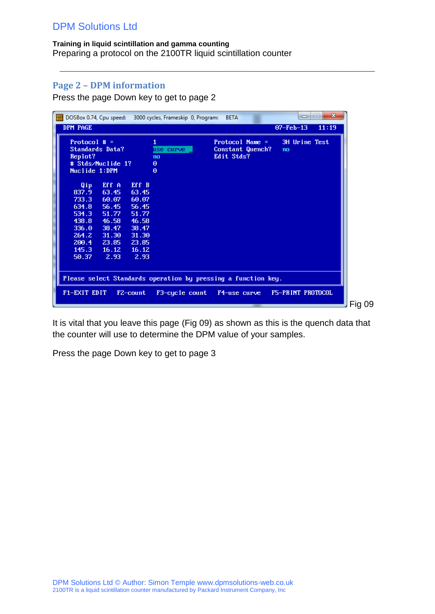### **Training in liquid scintillation and gamma counting**

Preparing a protocol on the 2100TR liquid scintillation counter

## <span id="page-7-0"></span>**Page 2 – DPM information**

Press the page Down key to get to page 2

| $\frac{pos}{log}$                                                                                                                                             | DOSBox 0.74, Cpu speed: 3000 cycles, Frameskip 0, Program:                    | <b>BETA</b>                                                                   | $\mathbf{x}$<br> n <br>$\Box$ |
|---------------------------------------------------------------------------------------------------------------------------------------------------------------|-------------------------------------------------------------------------------|-------------------------------------------------------------------------------|-------------------------------|
| DPM PAGE                                                                                                                                                      |                                                                               |                                                                               | $07 - Feb - 13$<br>11:19      |
| Protocol $# =$<br><b>Standards Data?</b><br>Replot?                                                                                                           | use curve<br>no                                                               | Protocol Name $=$<br>Constant Quench?<br>Edit Stds?                           | 3H Urine Test<br>no           |
| # Stds/Nuclide 1?<br>Nuclide 1:DPM                                                                                                                            | $\Theta$<br>$\Theta$                                                          |                                                                               |                               |
| Eff A<br>Qip.<br>837.9<br>63.45<br>60.07<br>733.3<br>634.8<br>56.45<br>51.77<br>534.3<br>46.58<br>438.8<br>336.0<br>38.47<br>31.30<br>264.2<br>200.4<br>23.85 | Eff B<br>63.45<br>60.07<br>56.45<br>51.77<br>46.58<br>38.47<br>31.30<br>23.85 |                                                                               |                               |
| 145.3<br>16.12<br>50.37<br>2.93<br>F1-EXIT EDIT                                                                                                               | 16.12<br>2.93<br>F3-cucle count<br>F2-count                                   | Please select Standards operation by pressing a function key.<br>F4-use curve | F5-PRINT PROTOCOL             |
|                                                                                                                                                               |                                                                               |                                                                               |                               |

 $\_$  ,  $\_$  ,  $\_$  ,  $\_$  ,  $\_$  ,  $\_$  ,  $\_$  ,  $\_$  ,  $\_$  ,  $\_$  ,  $\_$  ,  $\_$  ,  $\_$  ,  $\_$  ,  $\_$  ,  $\_$  ,  $\_$  ,  $\_$  ,  $\_$  ,  $\_$  ,  $\_$  ,  $\_$  ,  $\_$  ,  $\_$  ,  $\_$  ,  $\_$  ,  $\_$  ,  $\_$  ,  $\_$  ,  $\_$  ,  $\_$  ,  $\_$  ,  $\_$  ,  $\_$  ,  $\_$  ,  $\_$  ,  $\_$  ,

It is vital that you leave this page (Fig 09) as shown as this is the quench data that the counter will use to determine the DPM value of your samples.

Press the page Down key to get to page 3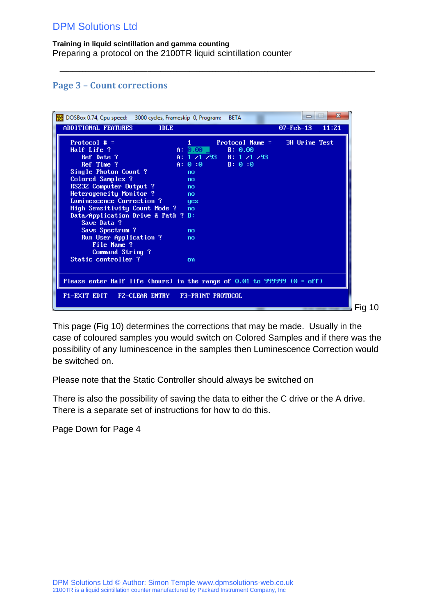**Training in liquid scintillation and gamma counting** Preparing a protocol on the 2100TR liquid scintillation counter

## <span id="page-8-0"></span>**Page 3 – Count corrections**

| DOSBox 0.74, Cpu speed: 3000 cycles, Frameskip 0, Program:                   |                  | <b>BETA</b>             | -                      | $\mathbf{x}$<br>$\left  \right $ |
|------------------------------------------------------------------------------|------------------|-------------------------|------------------------|----------------------------------|
| ADDITIONAL FEATURES<br><b>IDLE</b>                                           |                  |                         | $07 - \text{Feb} - 13$ | 11:21                            |
| Protocol $# =$                                                               |                  | $Protocol Name =$       | 3H Urine Test          |                                  |
| Half Life ?                                                                  | $A: 0.00$ $\Box$ | B: 0.00                 |                        |                                  |
| Ref Date ?                                                                   |                  | A: $1/1/93$ B: $1/1/93$ |                        |                                  |
| Ref Time ?                                                                   | A: 0:0           | B: 0:0                  |                        |                                  |
| Single Photon Count ?                                                        | no               |                         |                        |                                  |
| Colored Samples ?                                                            | no               |                         |                        |                                  |
| RS232 Computer Output ?                                                      | no               |                         |                        |                                  |
| Heterogeneity Monitor ?                                                      | no               |                         |                        |                                  |
| Luminescence Correction ?                                                    | <b>yes</b>       |                         |                        |                                  |
| High Sensitivity Count Mode ?                                                | no               |                         |                        |                                  |
| Data/Application Drive & Path ? B:                                           |                  |                         |                        |                                  |
| Save Data ?                                                                  |                  |                         |                        |                                  |
| Save Spectrum ?                                                              | no               |                         |                        |                                  |
| Run User Application ?                                                       | no               |                         |                        |                                  |
| File Name ?                                                                  |                  |                         |                        |                                  |
| Command String?                                                              |                  |                         |                        |                                  |
| Static controller?                                                           | on               |                         |                        |                                  |
|                                                                              |                  |                         |                        |                                  |
| Please enter Half life (hours) in the range of $0.01$ to 999999 ( $0 =$ off) |                  |                         |                        |                                  |
|                                                                              |                  |                         |                        |                                  |
| F1-EXIT EDIT F2-CLEAR ENTRY F3-PRINT PROTOCOL                                |                  |                         |                        |                                  |
|                                                                              |                  |                         |                        |                                  |
|                                                                              |                  |                         |                        |                                  |

 $\_$  ,  $\_$  ,  $\_$  ,  $\_$  ,  $\_$  ,  $\_$  ,  $\_$  ,  $\_$  ,  $\_$  ,  $\_$  ,  $\_$  ,  $\_$  ,  $\_$  ,  $\_$  ,  $\_$  ,  $\_$  ,  $\_$  ,  $\_$  ,  $\_$  ,  $\_$  ,  $\_$  ,  $\_$  ,  $\_$  ,  $\_$  ,  $\_$  ,  $\_$  ,  $\_$  ,  $\_$  ,  $\_$  ,  $\_$  ,  $\_$  ,  $\_$  ,  $\_$  ,  $\_$  ,  $\_$  ,  $\_$  ,  $\_$  ,

This page (Fig 10) determines the corrections that may be made. Usually in the case of coloured samples you would switch on Colored Samples and if there was the possibility of any luminescence in the samples then Luminescence Correction would be switched on.

Please note that the Static Controller should always be switched on

There is also the possibility of saving the data to either the C drive or the A drive. There is a separate set of instructions for how to do this.

Page Down for Page 4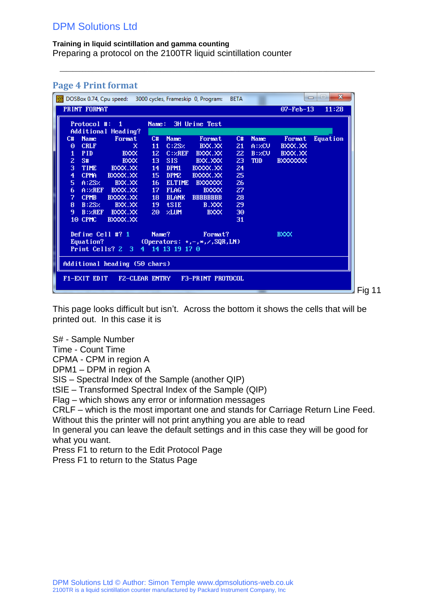#### **Training in liquid scintillation and gamma counting**

Preparing a protocol on the 2100TR liquid scintillation counter

### <span id="page-9-0"></span>**Page 4 Print format**

| $\frac{pos}{log}$<br>DOSBox 0.74, Cpu speed: 3000 cycles, Frameskip 0, Program: |                       |                 |                  |                                          | <b>BETA</b> |             |                 | $\mathbf{x}$<br>$\Box$<br>$\Box$ |
|---------------------------------------------------------------------------------|-----------------------|-----------------|------------------|------------------------------------------|-------------|-------------|-----------------|----------------------------------|
| PRINT FORMAT                                                                    |                       |                 |                  |                                          |             |             | $07 - Feb - 13$ | 11:28                            |
| Protocol #:                                                                     | $\blacksquare$ 1      | Name:           |                  | 3H Urine Test                            |             |             |                 |                                  |
|                                                                                 | Additional Heading?   |                 |                  |                                          |             |             |                 |                                  |
| C#<br><b>Name</b>                                                               | Format                | C#              | <b>Name</b>      | Format                                   | C#          | <b>Name</b> | Format          | <b>Equation</b>                  |
| <b>CRLF</b><br>Θ                                                                | x                     | 11              | C:2SZ            | BXX.XX                                   | 21          | A:ZCU       | BXXX.XX         |                                  |
| <b>PID</b><br>1                                                                 | <b>BXXX</b>           | 12 <sub>1</sub> | C:ZREF           | BXXX.XX                                  | 22          | B:ZCU       | BXXX.XX         |                                  |
| $\overline{z}$<br>S#                                                            | <b>BXXX</b>           | 13              | SIS:             | BXX.XXX                                  | 23          | <b>TOD</b>  | <b>BXXXXXXX</b> |                                  |
| 3<br><b>TIME</b>                                                                | BXXX.XX               | 14              | DPM1             | BXXXX.XX                                 | 24          |             |                 |                                  |
| $\overline{\mathbf{4}}$<br><b>CPMA</b>                                          | BXXXX.XX              | 15              | DPM <sub>2</sub> | BXXXX.XX                                 | 25          |             |                 |                                  |
| 5.<br>A:2SZ                                                                     | BXX.XX                | 16              | <b>ELTIME</b>    | <b>BXXXXXX</b>                           | 26          |             |                 |                                  |
| 6<br>A:ZREF                                                                     | BXXX.XX               | 17              | <b>FLAG</b>      | <b>BXXXX</b>                             | 27          |             |                 |                                  |
| 7<br><b>CPMB</b>                                                                | BXXXX.XX              | 18              | <b>BLANK</b>     | <b>BBBBBBBB</b>                          | 28          |             |                 |                                  |
| 8<br>B:2SZ                                                                      | BXX.XX                | 19              | <b>tSIE</b>      | B.XXX                                    | 29          |             |                 |                                  |
| 9.<br>B:ZREF                                                                    | BXXX.XX               | 20              | 2LUM             | <b>BXXX</b>                              | 30          |             |                 |                                  |
| 10 CPMC                                                                         | BXXXX.XX              |                 |                  |                                          | 31          |             |                 |                                  |
| Define Cell #? $1$                                                              |                       | Name?           |                  | Format?                                  |             |             | <b>BXXX</b>     |                                  |
| Equation?                                                                       |                       |                 |                  | (Operators: $+, -, *, \angle$ , SQR, LN) |             |             |                 |                                  |
| Print Cells? 2 3                                                                |                       |                 | 4 14 13 19 17 0  |                                          |             |             |                 |                                  |
| Additional heading (50 chars)                                                   |                       |                 |                  |                                          |             |             |                 |                                  |
| F1-EXIT EDIT                                                                    | <b>FZ-CLEAR ENTRY</b> |                 |                  | <b>F3-PRINT PROTOCOL</b>                 |             |             |                 |                                  |
|                                                                                 |                       |                 |                  |                                          |             |             |                 |                                  |

 $\_$  ,  $\_$  ,  $\_$  ,  $\_$  ,  $\_$  ,  $\_$  ,  $\_$  ,  $\_$  ,  $\_$  ,  $\_$  ,  $\_$  ,  $\_$  ,  $\_$  ,  $\_$  ,  $\_$  ,  $\_$  ,  $\_$  ,  $\_$  ,  $\_$  ,  $\_$  ,  $\_$  ,  $\_$  ,  $\_$  ,  $\_$  ,  $\_$  ,  $\_$  ,  $\_$  ,  $\_$  ,  $\_$  ,  $\_$  ,  $\_$  ,  $\_$  ,  $\_$  ,  $\_$  ,  $\_$  ,  $\_$  ,  $\_$  ,

This page looks difficult but isn't. Across the bottom it shows the cells that will be printed out. In this case it is

S# - Sample Number

Time - Count Time

CPMA - CPM in region A

DPM1 – DPM in region A

SIS – Spectral Index of the Sample (another QIP)

tSIE – Transformed Spectral Index of the Sample (QIP)

Flag – which shows any error or information messages

CRLF – which is the most important one and stands for Carriage Return Line Feed. Without this the printer will not print anything you are able to read

In general you can leave the default settings and in this case they will be good for what you want.

Press F1 to return to the Edit Protocol Page

Press F1 to return to the Status Page